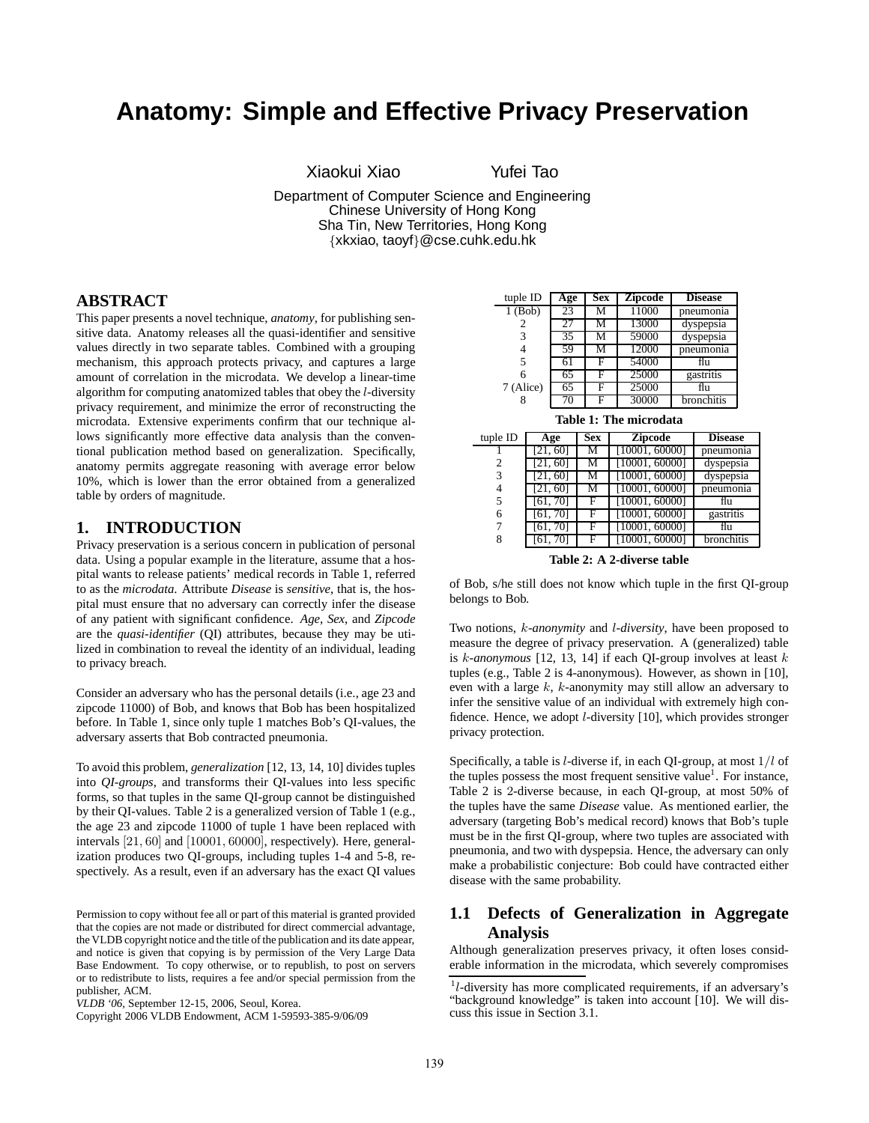# **Anatomy: Simple and Effective Privacy Preservation**

Xiaokui Xiao Yufei Tao

Department of Computer Science and Engineering Chinese University of Hong Kong Sha Tin, New Territories, Hong Kong {xkxiao, taoyf}@cse.cuhk.edu.hk

#### **ABSTRACT**

This paper presents a novel technique, *anatomy*, for publishing sensitive data. Anatomy releases all the quasi-identifier and sensitive values directly in two separate tables. Combined with a grouping mechanism, this approach protects privacy, and captures a large amount of correlation in the microdata. We develop a linear-time algorithm for computing anatomized tables that obey the l-diversity privacy requirement, and minimize the error of reconstructing the microdata. Extensive experiments confirm that our technique allows significantly more effective data analysis than the conventional publication method based on generalization. Specifically, anatomy permits aggregate reasoning with average error below 10%, which is lower than the error obtained from a generalized table by orders of magnitude.

#### **1. INTRODUCTION**

Privacy preservation is a serious concern in publication of personal data. Using a popular example in the literature, assume that a hospital wants to release patients' medical records in Table 1, referred to as the *microdata*. Attribute *Disease* is *sensitive*, that is, the hospital must ensure that no adversary can correctly infer the disease of any patient with significant confidence. *Age*, *Sex*, and *Zipcode* are the *quasi-identifier* (QI) attributes, because they may be utilized in combination to reveal the identity of an individual, leading to privacy breach.

Consider an adversary who has the personal details (i.e., age 23 and zipcode 11000) of Bob, and knows that Bob has been hospitalized before. In Table 1, since only tuple 1 matches Bob's QI-values, the adversary asserts that Bob contracted pneumonia.

To avoid this problem, *generalization* [12, 13, 14, 10] divides tuples into *QI-groups*, and transforms their QI-values into less specific forms, so that tuples in the same QI-group cannot be distinguished by their QI-values. Table 2 is a generalized version of Table 1 (e.g., the age 23 and zipcode 11000 of tuple 1 have been replaced with intervals [21, 60] and [10001, 60000], respectively). Here, generalization produces two QI-groups, including tuples 1-4 and 5-8, respectively. As a result, even if an adversary has the exact QI values

| tuple ID  | Age | <b>Sex</b> | <b>Zipcode</b> | <b>Disease</b> |
|-----------|-----|------------|----------------|----------------|
| $1$ (Bob) | 23  | М          | 11000          | pneumonia      |
| 2         | 27  | М          | 13000          | dyspepsia      |
| 3         | 35  | м          | 59000          | dyspepsia      |
| 4         | 59  | М          | 12000          | pneumonia      |
| 5         |     | F          | 54000          | flu            |
| 6         | 65  | F          | 25000          | gastritis      |
| 7 (Alice) | 65  | F          | 25000          | flu            |
|           | 70  |            | 30000          | bronchitis     |
|           |     |            |                |                |

|  |  |  | Table 1: The microdata |
|--|--|--|------------------------|
|--|--|--|------------------------|

| тари т. тис писточана |          |            |                |                |
|-----------------------|----------|------------|----------------|----------------|
| tuple ID              | Age      | <b>Sex</b> | Zipcode        | <b>Disease</b> |
|                       | [21, 60] | м          | [10001, 60000] | pneumonia      |
| 2                     | 21, 60   | М          | [10001, 60000] | dyspepsia      |
| 3                     | 21, 60]  | М          | [10001, 60000] | dyspepsia      |
| 4                     | 21, 60]  | М          | [10001, 60000] | pneumonia      |
| 5                     | [61, 70] | F          | [10001, 60000] | flu            |
| 6                     | [61, 70] | F          | [10001, 60000] | gastritis      |
|                       | [61, 70] | F          | [10001, 60000] | flu            |
| 8                     | 61,70    | F          | [10001, 60000] | bronchitis     |
|                       |          |            |                |                |

**Table 2: A 2-diverse table**

of Bob, s/he still does not know which tuple in the first QI-group belongs to Bob.

Two notions, k*-anonymity* and l*-diversity*, have been proposed to measure the degree of privacy preservation. A (generalized) table is k*-anonymous* [12, 13, 14] if each QI-group involves at least k tuples (e.g., Table 2 is 4-anonymous). However, as shown in [10], even with a large k, k-anonymity may still allow an adversary to infer the sensitive value of an individual with extremely high confidence. Hence, we adopt l-diversity [10], which provides stronger privacy protection.

Specifically, a table is  $l$ -diverse if, in each QI-group, at most  $1/l$  of the tuples possess the most frequent sensitive value<sup>1</sup>. For instance, Table 2 is 2-diverse because, in each QI-group, at most 50% of the tuples have the same *Disease* value. As mentioned earlier, the adversary (targeting Bob's medical record) knows that Bob's tuple must be in the first QI-group, where two tuples are associated with pneumonia, and two with dyspepsia. Hence, the adversary can only make a probabilistic conjecture: Bob could have contracted either disease with the same probability.

## **1.1 Defects of Generalization in Aggregate Analysis**

Although generalization preserves privacy, it often loses considerable information in the microdata, which severely compromises

Permission to copy without fee all or part of this material is granted provided that the copies are not made or distributed for direct commercial advantage, the VLDB copyright notice and the title of the publication and its date appear, and notice is given that copying is by permission of the Very Large Data Base Endowment. To copy otherwise, or to republish, to post on servers or to redistribute to lists, requires a fee and/or special permission from the publisher, ACM.

*VLDB '06,* September 12-15, 2006, Seoul, Korea.

Copyright 2006 VLDB Endowment, ACM 1-59593-385-9/06/09

<sup>&</sup>lt;sup>1</sup>l-diversity has more complicated requirements, if an adversary's "background knowledge" is taken into account [10]. We will discuss this issue in Section 3.1.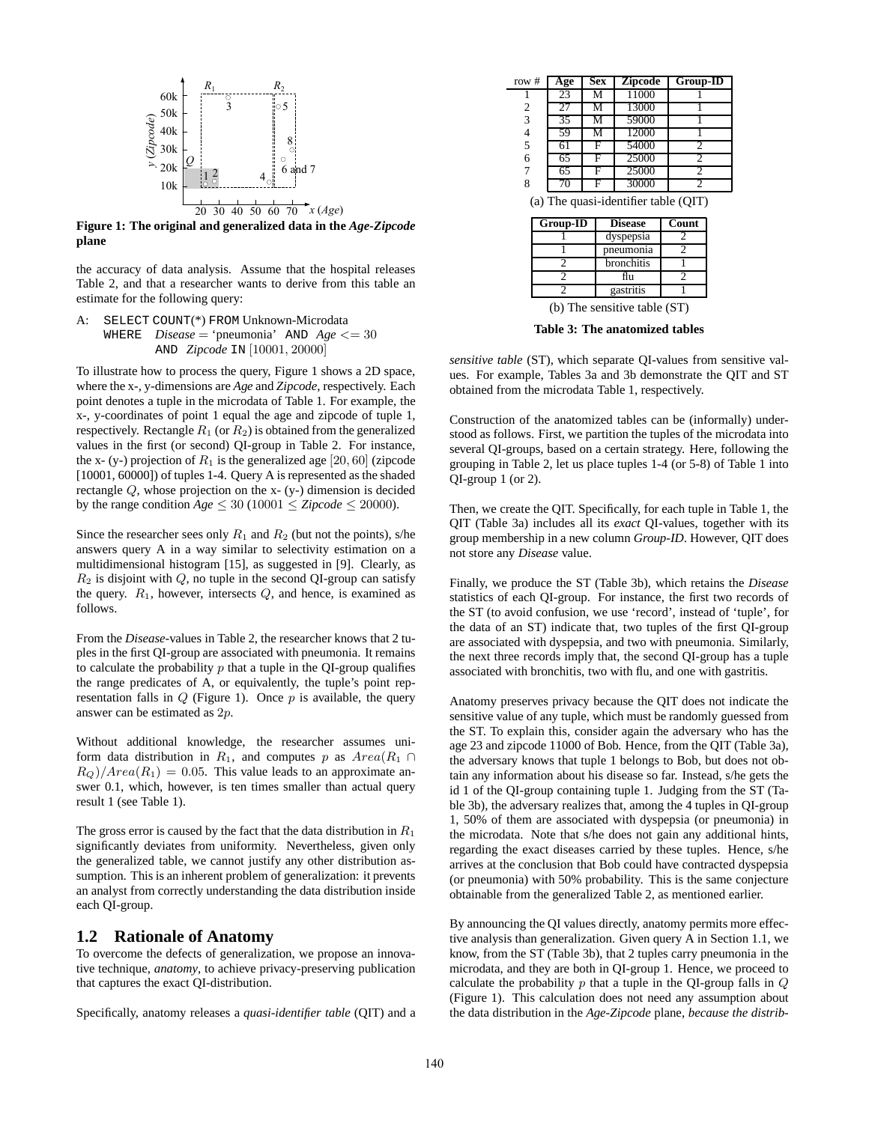

**Figure 1: The original and generalized data in the** *Age-Zipcode* **plane**

the accuracy of data analysis. Assume that the hospital releases Table 2, and that a researcher wants to derive from this table an estimate for the following query:

A: SELECT COUNT(\*) FROM Unknown-Microdata WHERE  $Disease = 'pneumonia' AND Age  $\leq 30$$ AND *Zipcode* IN [10001, 20000]

To illustrate how to process the query, Figure 1 shows a 2D space, where the x-, y-dimensions are *Age* and *Zipcode*, respectively. Each point denotes a tuple in the microdata of Table 1. For example, the x-, y-coordinates of point 1 equal the age and zipcode of tuple 1, respectively. Rectangle  $R_1$  (or  $R_2$ ) is obtained from the generalized values in the first (or second) QI-group in Table 2. For instance, the x- (y-) projection of  $R_1$  is the generalized age [20, 60] (zipcode [10001, 60000]) of tuples 1-4. Query A is represented as the shaded rectangle Q, whose projection on the x- (y-) dimension is decided by the range condition  $Age \leq 30 (10001 \leq Zipcode \leq 20000)$ .

Since the researcher sees only  $R_1$  and  $R_2$  (but not the points), s/he answers query A in a way similar to selectivity estimation on a multidimensional histogram [15], as suggested in [9]. Clearly, as  $R_2$  is disjoint with  $Q$ , no tuple in the second QI-group can satisfy the query.  $R_1$ , however, intersects  $Q$ , and hence, is examined as follows.

From the *Disease*-values in Table 2, the researcher knows that 2 tuples in the first QI-group are associated with pneumonia. It remains to calculate the probability  $p$  that a tuple in the QI-group qualifies the range predicates of A, or equivalently, the tuple's point representation falls in  $Q$  (Figure 1). Once  $p$  is available, the query answer can be estimated as 2p.

Without additional knowledge, the researcher assumes uniform data distribution in  $R_1$ , and computes p as  $Area(R_1 \cap$  $R_Q$ )/Area( $R_1$ ) = 0.05. This value leads to an approximate answer 0.1, which, however, is ten times smaller than actual query result 1 (see Table 1).

The gross error is caused by the fact that the data distribution in  $R_1$ significantly deviates from uniformity. Nevertheless, given only the generalized table, we cannot justify any other distribution assumption. This is an inherent problem of generalization: it prevents an analyst from correctly understanding the data distribution inside each QI-group.

#### **1.2 Rationale of Anatomy**

To overcome the defects of generalization, we propose an innovative technique, *anatomy*, to achieve privacy-preserving publication that captures the exact QI-distribution.

Specifically, anatomy releases a *quasi-identifier table* (QIT) and a

| row #      | Age | <b>Sex</b> | <b>Zipcode</b>            | Group-ID            |
|------------|-----|------------|---------------------------|---------------------|
|            | 23  | М          | 11000                     |                     |
| 2          | 27  | м          | 13000                     |                     |
| 3          | 35  | М          | 59000                     |                     |
| 4          | 59  | М          | 12000                     |                     |
| 5          | 61  | F          | 54000                     |                     |
| 6          | 65  | F          | 25000                     | 2                   |
| 7          | 65  | F          | 25000                     | $\overline{c}$      |
| 8          | 70  | F          | 30000                     | っ                   |
| $\sqrt{2}$ |     | $\cdot$ 1  | $\cdot \cdot$ $\sim$<br>. | $($ $\cap$ T $\cap$ |

(a) The quasi-identifier table (QIT)

| <b>Disease</b> | Count |
|----------------|-------|
| dyspepsia      |       |
| pneumonia      |       |
| bronchitis     |       |
| fin            |       |
| gastritis      |       |
|                |       |

(b) The sensitive table (ST)

**Table 3: The anatomized tables**

*sensitive table* (ST), which separate QI-values from sensitive values. For example, Tables 3a and 3b demonstrate the QIT and ST obtained from the microdata Table 1, respectively.

Construction of the anatomized tables can be (informally) understood as follows. First, we partition the tuples of the microdata into several QI-groups, based on a certain strategy. Here, following the grouping in Table 2, let us place tuples 1-4 (or 5-8) of Table 1 into QI-group 1 (or 2).

Then, we create the QIT. Specifically, for each tuple in Table 1, the QIT (Table 3a) includes all its *exact* QI-values, together with its group membership in a new column *Group-ID*. However, QIT does not store any *Disease* value.

Finally, we produce the ST (Table 3b), which retains the *Disease* statistics of each QI-group. For instance, the first two records of the ST (to avoid confusion, we use 'record', instead of 'tuple', for the data of an ST) indicate that, two tuples of the first QI-group are associated with dyspepsia, and two with pneumonia. Similarly, the next three records imply that, the second QI-group has a tuple associated with bronchitis, two with flu, and one with gastritis.

Anatomy preserves privacy because the QIT does not indicate the sensitive value of any tuple, which must be randomly guessed from the ST. To explain this, consider again the adversary who has the age 23 and zipcode 11000 of Bob. Hence, from the QIT (Table 3a), the adversary knows that tuple 1 belongs to Bob, but does not obtain any information about his disease so far. Instead, s/he gets the id 1 of the QI-group containing tuple 1. Judging from the ST (Table 3b), the adversary realizes that, among the 4 tuples in QI-group 1, 50% of them are associated with dyspepsia (or pneumonia) in the microdata. Note that s/he does not gain any additional hints, regarding the exact diseases carried by these tuples. Hence, s/he arrives at the conclusion that Bob could have contracted dyspepsia (or pneumonia) with 50% probability. This is the same conjecture obtainable from the generalized Table 2, as mentioned earlier.

By announcing the QI values directly, anatomy permits more effective analysis than generalization. Given query A in Section 1.1, we know, from the ST (Table 3b), that 2 tuples carry pneumonia in the microdata, and they are both in QI-group 1. Hence, we proceed to calculate the probability  $p$  that a tuple in the QI-group falls in  $Q$ (Figure 1). This calculation does not need any assumption about the data distribution in the *Age*-*Zipcode* plane, *because the distrib-*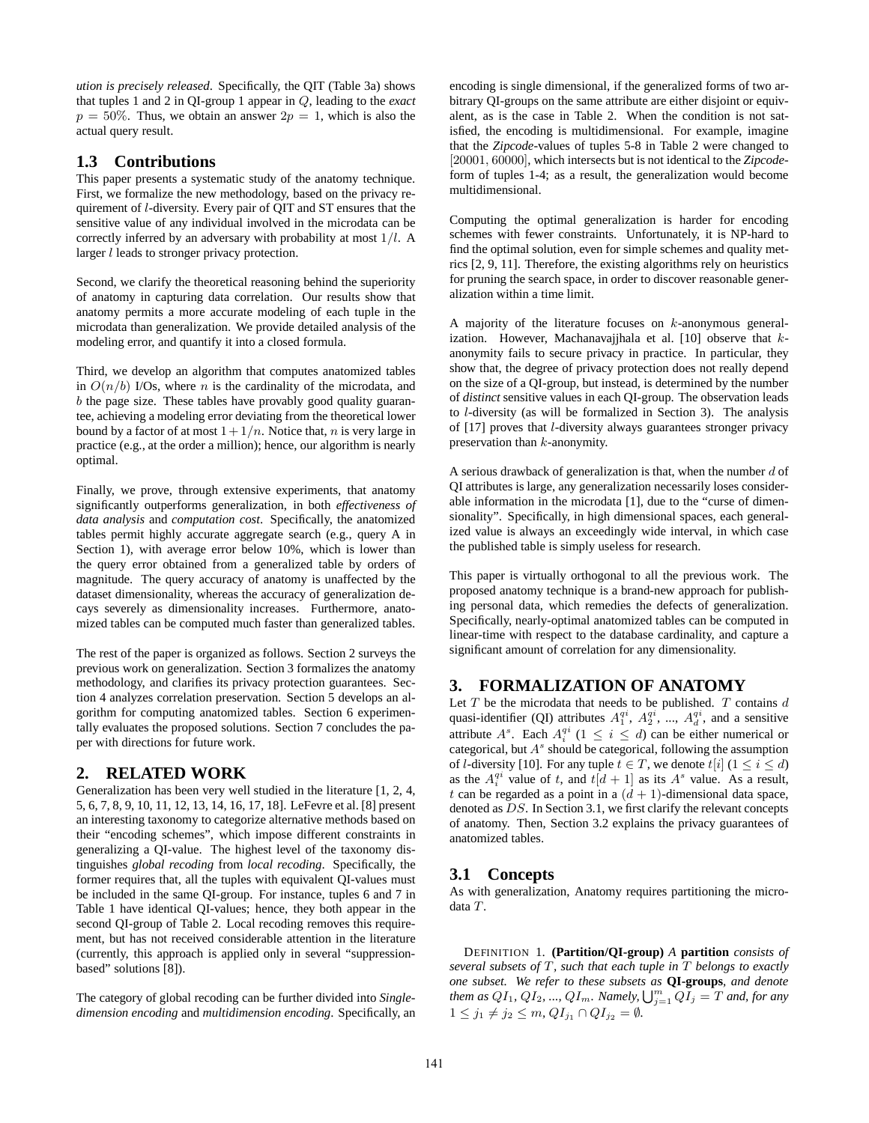*ution is precisely released*. Specifically, the QIT (Table 3a) shows that tuples 1 and 2 in QI-group 1 appear in Q, leading to the *exact*  $p = 50\%$ . Thus, we obtain an answer  $2p = 1$ , which is also the actual query result.

## **1.3 Contributions**

This paper presents a systematic study of the anatomy technique. First, we formalize the new methodology, based on the privacy requirement of l-diversity. Every pair of QIT and ST ensures that the sensitive value of any individual involved in the microdata can be correctly inferred by an adversary with probability at most  $1/l$ . A larger *l* leads to stronger privacy protection.

Second, we clarify the theoretical reasoning behind the superiority of anatomy in capturing data correlation. Our results show that anatomy permits a more accurate modeling of each tuple in the microdata than generalization. We provide detailed analysis of the modeling error, and quantify it into a closed formula.

Third, we develop an algorithm that computes anatomized tables in  $O(n/b)$  I/Os, where *n* is the cardinality of the microdata, and  $b$  the page size. These tables have provably good quality guarantee, achieving a modeling error deviating from the theoretical lower bound by a factor of at most  $1 + 1/n$ . Notice that, *n* is very large in practice (e.g., at the order a million); hence, our algorithm is nearly optimal.

Finally, we prove, through extensive experiments, that anatomy significantly outperforms generalization, in both *effectiveness of data analysis* and *computation cost*. Specifically, the anatomized tables permit highly accurate aggregate search (e.g., query A in Section 1), with average error below 10%, which is lower than the query error obtained from a generalized table by orders of magnitude. The query accuracy of anatomy is unaffected by the dataset dimensionality, whereas the accuracy of generalization decays severely as dimensionality increases. Furthermore, anatomized tables can be computed much faster than generalized tables.

The rest of the paper is organized as follows. Section 2 surveys the previous work on generalization. Section 3 formalizes the anatomy methodology, and clarifies its privacy protection guarantees. Section 4 analyzes correlation preservation. Section 5 develops an algorithm for computing anatomized tables. Section 6 experimentally evaluates the proposed solutions. Section 7 concludes the paper with directions for future work.

# **2. RELATED WORK**

Generalization has been very well studied in the literature [1, 2, 4, 5, 6, 7, 8, 9, 10, 11, 12, 13, 14, 16, 17, 18]. LeFevre et al. [8] present an interesting taxonomy to categorize alternative methods based on their "encoding schemes", which impose different constraints in generalizing a QI-value. The highest level of the taxonomy distinguishes *global recoding* from *local recoding*. Specifically, the former requires that, all the tuples with equivalent QI-values must be included in the same QI-group. For instance, tuples 6 and 7 in Table 1 have identical QI-values; hence, they both appear in the second QI-group of Table 2. Local recoding removes this requirement, but has not received considerable attention in the literature (currently, this approach is applied only in several "suppressionbased" solutions [8]).

The category of global recoding can be further divided into *Singledimension encoding* and *multidimension encoding*. Specifically, an encoding is single dimensional, if the generalized forms of two arbitrary QI-groups on the same attribute are either disjoint or equivalent, as is the case in Table 2. When the condition is not satisfied, the encoding is multidimensional. For example, imagine that the *Zipcode*-values of tuples 5-8 in Table 2 were changed to [20001, 60000], which intersects but is not identical to the *Zipcode*form of tuples 1-4; as a result, the generalization would become multidimensional.

Computing the optimal generalization is harder for encoding schemes with fewer constraints. Unfortunately, it is NP-hard to find the optimal solution, even for simple schemes and quality metrics [2, 9, 11]. Therefore, the existing algorithms rely on heuristics for pruning the search space, in order to discover reasonable generalization within a time limit.

A majority of the literature focuses on k-anonymous generalization. However, Machanavajjhala et al. [10] observe that kanonymity fails to secure privacy in practice. In particular, they show that, the degree of privacy protection does not really depend on the size of a QI-group, but instead, is determined by the number of *distinct* sensitive values in each QI-group. The observation leads to l-diversity (as will be formalized in Section 3). The analysis of [17] proves that l-diversity always guarantees stronger privacy preservation than k-anonymity.

A serious drawback of generalization is that, when the number  $d$  of QI attributes is large, any generalization necessarily loses considerable information in the microdata [1], due to the "curse of dimensionality". Specifically, in high dimensional spaces, each generalized value is always an exceedingly wide interval, in which case the published table is simply useless for research.

This paper is virtually orthogonal to all the previous work. The proposed anatomy technique is a brand-new approach for publishing personal data, which remedies the defects of generalization. Specifically, nearly-optimal anatomized tables can be computed in linear-time with respect to the database cardinality, and capture a significant amount of correlation for any dimensionality.

# **3. FORMALIZATION OF ANATOMY**

Let  $T$  be the microdata that needs to be published.  $T$  contains  $d$ quasi-identifier (QI) attributes  $A_1^{qi}$ ,  $A_2^{qi}$ , ...,  $A_d^{qi}$ , and a sensitive attribute  $A^s$ . Each  $A_i^{qi}$  ( $1 \leq i \leq d$ ) can be either numerical or categorical, but  $A^s$  should be categorical, following the assumption of *l*-diversity [10]. For any tuple  $t \in T$ , we denote  $t[i]$  ( $1 \le i \le d$ ) as the  $A_i^{qi}$  value of t, and  $t[d + 1]$  as its  $A^s$  value. As a result, t can be regarded as a point in a  $(d + 1)$ -dimensional data space, denoted as DS. In Section 3.1, we first clarify the relevant concepts of anatomy. Then, Section 3.2 explains the privacy guarantees of anatomized tables.

## **3.1 Concepts**

As with generalization, Anatomy requires partitioning the microdata T.

DEFINITION 1. **(Partition/QI-group)** *A* **partition** *consists of several subsets of* T*, such that each tuple in* T *belongs to exactly one subset. We refer to these subsets as* **QI-groups***, and denote them as*  $QI_1$ ,  $QI_2$ , ...,  $QI_m$ . *Namely,*  $\bigcup_{j=1}^m QI_j = T$  *and, for any*  $1 \leq j_1 \neq j_2 \leq m$ ,  $QI_{j_1} \cap QI_{j_2} = \emptyset$ .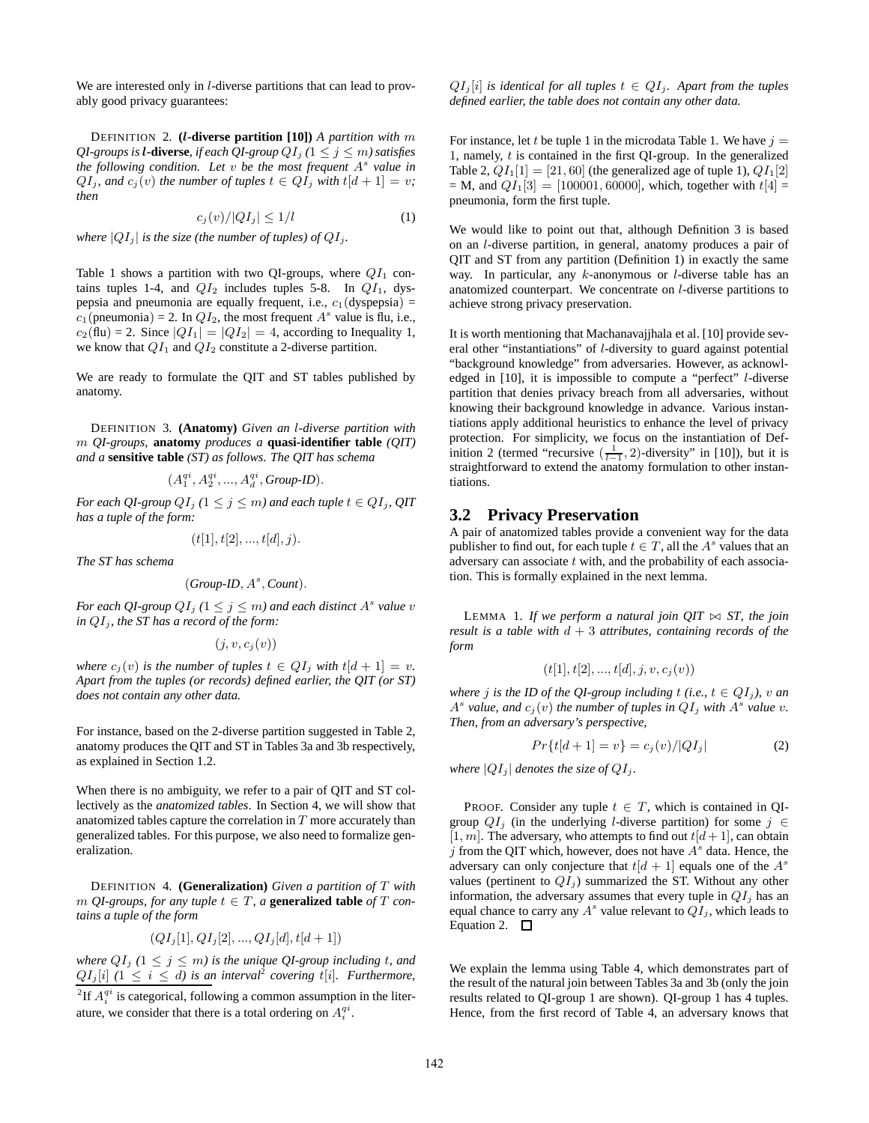We are interested only in *l*-diverse partitions that can lead to provably good privacy guarantees:

DEFINITION 2. **(**l**-diverse partition [10])** *A partition with* m *QI-groups is l***-diverse***, if each QI-group*  $QI_j$  ( $1 \leq j \leq m$ *) satisfies the following condition. Let* v *be the most frequent* A s *value in*  $QI_j$ *, and*  $c_j(v)$  *the number of tuples*  $t \in QI_j$  *with*  $t[d+1] = v$ *; then*

$$
c_j(v)/|QI_j| \le 1/l \tag{1}
$$

*where*  $|QI_i|$  *is the size (the number of tuples) of*  $QI_i$ .

Table 1 shows a partition with two QI-groups, where  $QI_1$  contains tuples 1-4, and  $QI_2$  includes tuples 5-8. In  $QI_1$ , dyspepsia and pneumonia are equally frequent, i.e.,  $c_1$  (dyspepsia) =  $c_1$ (pneumonia) = 2. In  $QI_2$ , the most frequent  $A^s$  value is flu, i.e.,  $c_2$ (flu) = 2. Since  $|QI_1| = |QI_2| = 4$ , according to Inequality 1, we know that  $QI_1$  and  $QI_2$  constitute a 2-diverse partition.

We are ready to formulate the QIT and ST tables published by anatomy.

DEFINITION 3. **(Anatomy)** *Given an* l*-diverse partition with* m *QI-groups,* **anatomy** *produces a* **quasi-identifier table** *(QIT) and a* **sensitive table** *(ST) as follows. The QIT has schema*

$$
(A^{qi}_1, A^{qi}_2, ..., A^{qi}_d, \textit{Group-ID}).
$$

*For each QI-group*  $QI_j$  ( $1 \leq j \leq m$ ) and each tuple  $t \in QI_j$ , QIT *has a tuple of the form:*

$$
(t[1], t[2], ..., t[d], j).
$$

*The ST has schema*

$$
(Group\text{-}ID, A^s, Count).
$$

For each QI-group  $QI_j$   $(1 \leq j \leq m)$  and each distinct  $A<sup>s</sup>$  value  $v$ *in*  $QI_i$ *, the ST has a record of the form:* 

$$
(j, v, c_j(v))
$$

*where*  $c_i(v)$  *is the number of tuples*  $t \in QI_i$  *with*  $t[d+1] = v$ *. Apart from the tuples (or records) defined earlier, the QIT (or ST) does not contain any other data.*

For instance, based on the 2-diverse partition suggested in Table 2, anatomy produces the QIT and ST in Tables 3a and 3b respectively, as explained in Section 1.2.

When there is no ambiguity, we refer to a pair of QIT and ST collectively as the *anatomized tables*. In Section 4, we will show that anatomized tables capture the correlation in  $T$  more accurately than generalized tables. For this purpose, we also need to formalize generalization.

DEFINITION 4. **(Generalization)** *Given a partition of* T *with*  $m$  *QI-groups, for any tuple*  $t \in T$ *, a* **generalized table** *of*  $T$  *contains a tuple of the form*

$$
(QI_j[1], QI_j[2], ..., QI_j[d], t[d+1])
$$

*where*  $QI_j$  ( $1 \leq j \leq m$ ) is the unique QI-group including t, and  $QI_j[i]$  ( $1 \leq i \leq d$ ) is an interval<sup>2</sup> covering t[i]. Furthermore,

 $QI_j[i]$  *is identical for all tuples*  $t \in QI_j$ *. Apart from the tuples defined earlier, the table does not contain any other data.*

For instance, let t be tuple 1 in the microdata Table 1. We have  $j =$ 1, namely,  $t$  is contained in the first QI-group. In the generalized Table 2,  $QI_1[1] = [21, 60]$  (the generalized age of tuple 1),  $QI_1[2]$  $= M$ , and  $QI_1[3] = [100001, 60000]$ , which, together with  $t[4] =$ pneumonia, form the first tuple.

We would like to point out that, although Definition 3 is based on an l-diverse partition, in general, anatomy produces a pair of QIT and ST from any partition (Definition 1) in exactly the same way. In particular, any k-anonymous or *l*-diverse table has an anatomized counterpart. We concentrate on l-diverse partitions to achieve strong privacy preservation.

It is worth mentioning that Machanavajjhala et al. [10] provide several other "instantiations" of l-diversity to guard against potential "background knowledge" from adversaries. However, as acknowledged in [10], it is impossible to compute a "perfect" l-diverse partition that denies privacy breach from all adversaries, without knowing their background knowledge in advance. Various instantiations apply additional heuristics to enhance the level of privacy protection. For simplicity, we focus on the instantiation of Definition 2 (termed "recursive  $(\frac{1}{l-1}, 2)$ -diversity" in [10]), but it is straightforward to extend the anatomy formulation to other instantiations.

### **3.2 Privacy Preservation**

A pair of anatomized tables provide a convenient way for the data publisher to find out, for each tuple  $t \in T$ , all the  $A<sup>s</sup>$  values that an adversary can associate  $t$  with, and the probability of each association. This is formally explained in the next lemma.

LEMMA 1. If we perform a natural join  $QIT \bowtie ST$ , the join *result is a table with* d + 3 *attributes, containing records of the form*

$$
(t[1], t[2], ..., t[d], j, v, c_j(v))
$$

*where j is the ID of the QI-group including*  $t$  *(i.e.,*  $t \in QI_j$ *),*  $v$  *an*  $A<sup>s</sup>$  *value, and*  $c_j(v)$  *the number of tuples in*  $QI_j$  *with*  $A<sup>s</sup>$  *value v. Then, from an adversary's perspective,*

$$
Pr{t[d+1] = v} = c_j(v)/|QI_j|
$$
 (2)

*where*  $|QI_i|$  *denotes the size of*  $QI_i$ *.* 

PROOF. Consider any tuple  $t \in T$ , which is contained in QIgroup  $QI_i$  (in the underlying l-diverse partition) for some  $j \in \mathcal{Q}$ [1, m]. The adversary, who attempts to find out  $t[d+1]$ , can obtain  $j$  from the QIT which, however, does not have  $A<sup>s</sup>$  data. Hence, the adversary can only conjecture that  $t[d + 1]$  equals one of the  $A<sup>s</sup>$ values (pertinent to  $QI_j$ ) summarized the ST. Without any other information, the adversary assumes that every tuple in  $QI_j$  has an equal chance to carry any  $A^s$  value relevant to  $QI_j$ , which leads to Equation 2.  $\Box$ 

We explain the lemma using Table 4, which demonstrates part of the result of the natural join between Tables 3a and 3b (only the join results related to QI-group 1 are shown). QI-group 1 has 4 tuples. Hence, from the first record of Table 4, an adversary knows that

<sup>&</sup>lt;sup>2</sup>If  $A_i^{qi}$  is categorical, following a common assumption in the literature, we consider that there is a total ordering on  $A_i^{qi}$ .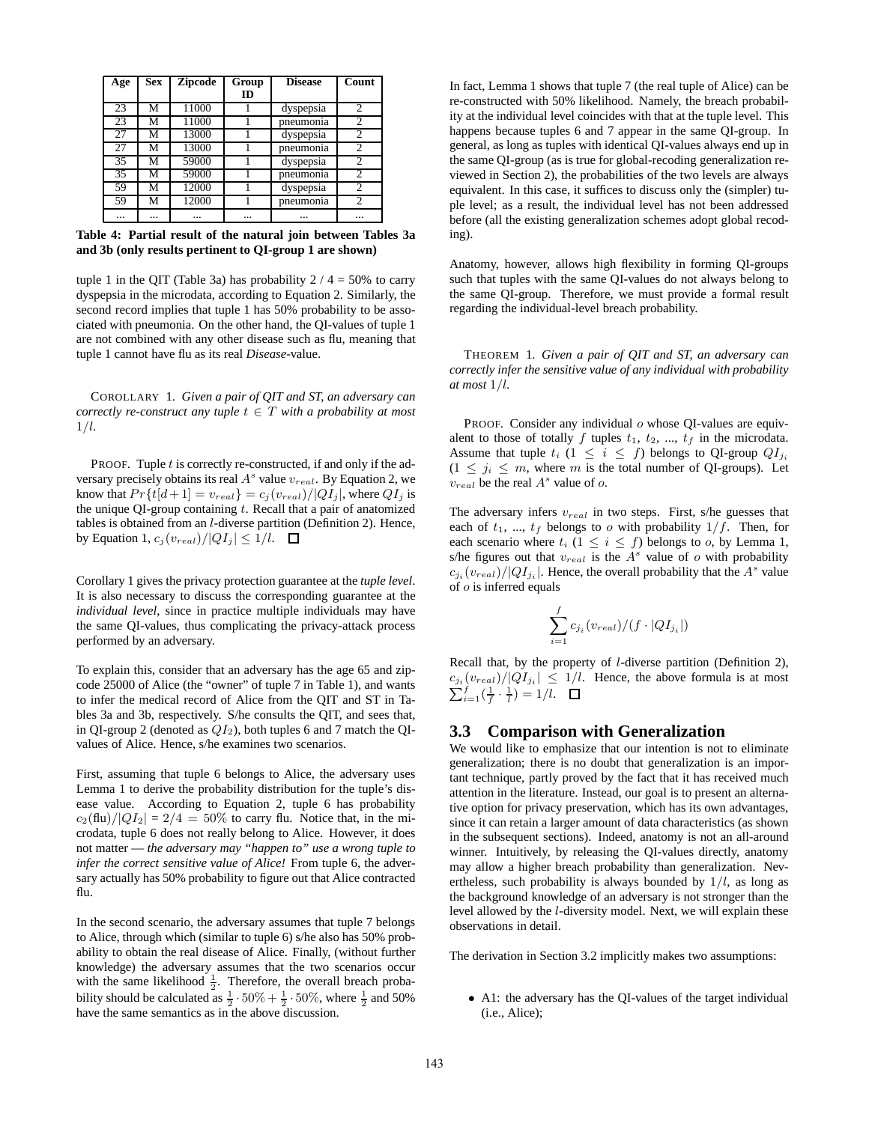| Age | <b>Sex</b> | <b>Zipcode</b> | Group | <b>Disease</b> | Count          |
|-----|------------|----------------|-------|----------------|----------------|
|     |            |                | ID    |                |                |
| 23  | М          | 11000          |       | dyspepsia      | $\overline{c}$ |
| 23  | М          | 11000          |       | pneumonia      | $\overline{c}$ |
| 27  | М          | 13000          |       | dyspepsia      | $\overline{c}$ |
| 27  | М          | 13000          |       | pneumonia      | $\mathfrak{D}$ |
| 35  | М          | 59000          |       | dyspepsia      | $\mathfrak{D}$ |
| 35  | М          | 59000          |       | pneumonia      | $\overline{c}$ |
| 59  | М          | 12000          |       | dyspepsia      | 2              |
| 59  | М          | 12000          |       | pneumonia      | 2              |
|     |            |                |       |                |                |

**Table 4: Partial result of the natural join between Tables 3a and 3b (only results pertinent to QI-group 1 are shown)**

tuple 1 in the QIT (Table 3a) has probability  $2 / 4 = 50\%$  to carry dyspepsia in the microdata, according to Equation 2. Similarly, the second record implies that tuple 1 has 50% probability to be associated with pneumonia. On the other hand, the QI-values of tuple 1 are not combined with any other disease such as flu, meaning that tuple 1 cannot have flu as its real *Disease*-value.

COROLLARY 1. *Given a pair of QIT and ST, an adversary can correctly re-construct any tuple*  $t \in T$  *with a probability at most* 1/l*.*

PROOF. Tuple  $t$  is correctly re-constructed, if and only if the adversary precisely obtains its real  $A^s$  value  $v_{real}$ . By Equation 2, we know that  $Pr{t[d+1] = v_{real}} = c_j(v_{real})/|QI_j|$ , where  $QI_j$  is the unique QI-group containing  $t$ . Recall that a pair of anatomized tables is obtained from an l-diverse partition (Definition 2). Hence, by Equation 1,  $c_j (v_{real})/|QI_j| \leq 1/l$ .  $\Box$ 

Corollary 1 gives the privacy protection guarantee at the *tuple level*. It is also necessary to discuss the corresponding guarantee at the *individual level*, since in practice multiple individuals may have the same QI-values, thus complicating the privacy-attack process performed by an adversary.

To explain this, consider that an adversary has the age 65 and zipcode 25000 of Alice (the "owner" of tuple 7 in Table 1), and wants to infer the medical record of Alice from the QIT and ST in Tables 3a and 3b, respectively. S/he consults the QIT, and sees that, in QI-group 2 (denoted as  $QI_2$ ), both tuples 6 and 7 match the QIvalues of Alice. Hence, s/he examines two scenarios.

First, assuming that tuple 6 belongs to Alice, the adversary uses Lemma 1 to derive the probability distribution for the tuple's disease value. According to Equation 2, tuple 6 has probability  $c_2$ (flu)/ $|QI_2| = 2/4 = 50\%$  to carry flu. Notice that, in the microdata, tuple 6 does not really belong to Alice. However, it does not matter — *the adversary may "happen to" use a wrong tuple to infer the correct sensitive value of Alice!* From tuple 6, the adversary actually has 50% probability to figure out that Alice contracted flu.

In the second scenario, the adversary assumes that tuple 7 belongs to Alice, through which (similar to tuple 6) s/he also has 50% probability to obtain the real disease of Alice. Finally, (without further knowledge) the adversary assumes that the two scenarios occur with the same likelihood  $\frac{1}{2}$ . Therefore, the overall breach probawhich the static intermode  $\frac{1}{2}$ . Therefore, the overall order product bility should be calculated as  $\frac{1}{2} \cdot 50\% + \frac{1}{2} \cdot 50\%$ , where  $\frac{1}{2}$  and 50% have the same semantics as in the above discussion.

In fact, Lemma 1 shows that tuple 7 (the real tuple of Alice) can be re-constructed with 50% likelihood. Namely, the breach probability at the individual level coincides with that at the tuple level. This happens because tuples 6 and 7 appear in the same QI-group. In general, as long as tuples with identical QI-values always end up in the same QI-group (as is true for global-recoding generalization reviewed in Section 2), the probabilities of the two levels are always equivalent. In this case, it suffices to discuss only the (simpler) tuple level; as a result, the individual level has not been addressed before (all the existing generalization schemes adopt global recoding).

Anatomy, however, allows high flexibility in forming QI-groups such that tuples with the same QI-values do not always belong to the same QI-group. Therefore, we must provide a formal result regarding the individual-level breach probability.

THEOREM 1. *Given a pair of QIT and ST, an adversary can correctly infer the sensitive value of any individual with probability at most* 1/l*.*

PROOF. Consider any individual  $o$  whose QI-values are equivalent to those of totally f tuples  $t_1$ ,  $t_2$ , ...,  $t_f$  in the microdata. Assume that tuple  $t_i$  ( $1 \leq i \leq f$ ) belongs to QI-group  $QI_{j_i}$  $(1 \leq j_i \leq m$ , where m is the total number of QI-groups). Let  $v_{real}$  be the real  $A^s$  value of o.

The adversary infers  $v_{real}$  in two steps. First, s/he guesses that each of  $t_1, ..., t_f$  belongs to o with probability  $1/f$ . Then, for each scenario where  $t_i$  ( $1 \leq i \leq f$ ) belongs to *o*, by Lemma 1, s/he figures out that  $v_{real}$  is the  $A<sup>s</sup>$  value of  $o$  with probability  $c_{j_i}(v_{real})/|QI_{j_i}|$ . Hence, the overall probability that the  $A^s$  value of o is inferred equals

$$
\sum_{i=1}^f c_{j_i}(v_{real})/(f\cdot |QI_{j_i}|)
$$

Recall that, by the property of l-diverse partition (Definition 2),  $c_{j_i}(v_{real})/|QI_{j_i}| \leq 1/l$ . Hence, the above formula is at most  $\sum_{i=1}^{f}(\frac{1}{f}\cdot\frac{1}{l})=1/l.$ 

#### **3.3 Comparison with Generalization**

We would like to emphasize that our intention is not to eliminate generalization; there is no doubt that generalization is an important technique, partly proved by the fact that it has received much attention in the literature. Instead, our goal is to present an alternative option for privacy preservation, which has its own advantages, since it can retain a larger amount of data characteristics (as shown in the subsequent sections). Indeed, anatomy is not an all-around winner. Intuitively, by releasing the QI-values directly, anatomy may allow a higher breach probability than generalization. Nevertheless, such probability is always bounded by  $1/l$ , as long as the background knowledge of an adversary is not stronger than the level allowed by the l-diversity model. Next, we will explain these observations in detail.

The derivation in Section 3.2 implicitly makes two assumptions:

• A1: the adversary has the QI-values of the target individual (i.e., Alice);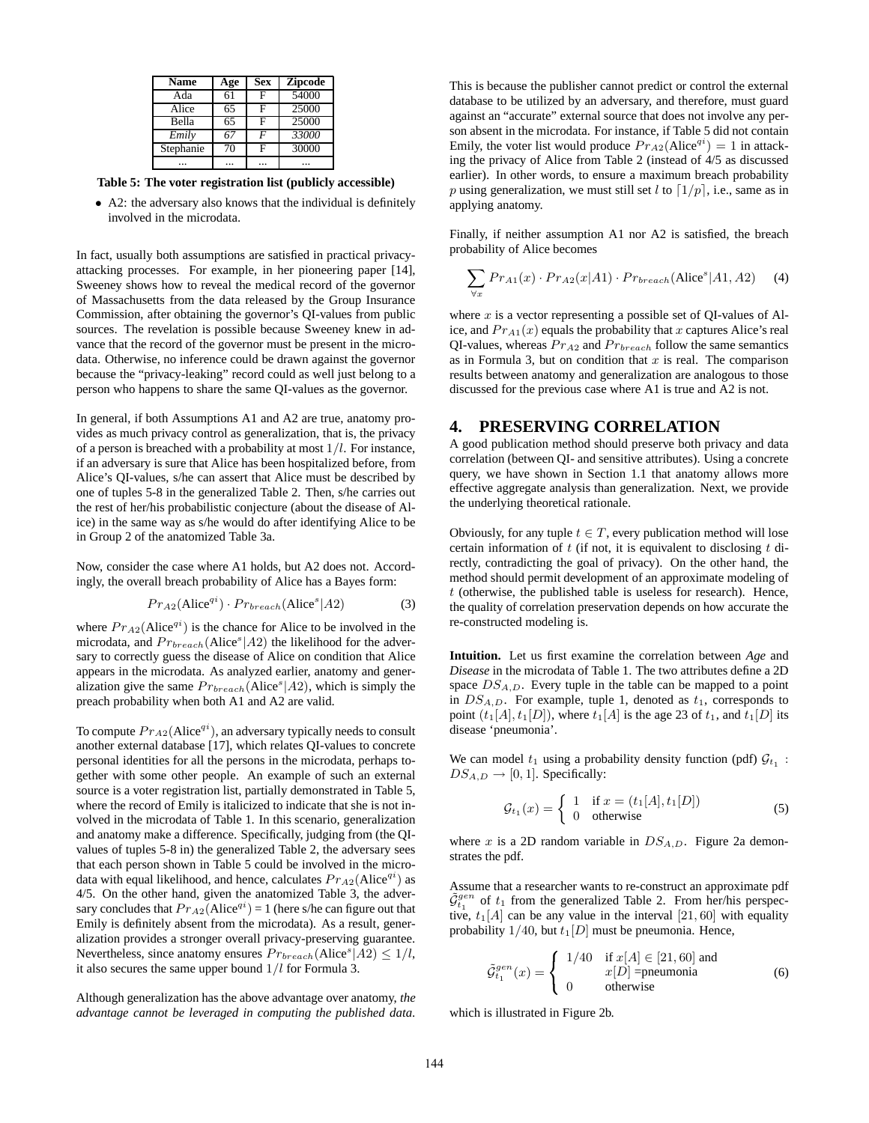| <b>Name</b>  | Age | <b>Sex</b> | <b>Zipcode</b> |
|--------------|-----|------------|----------------|
| Ada          | 61  | F          | 54000          |
| Alice        | 65  | F          | 25000          |
| <b>Bella</b> | 65  | F          | 25000          |
| Emily        | 67  | F          | 33000          |
| Stephanie    | 70  | F          | 30000          |
|              |     |            |                |

**Table 5: The voter registration list (publicly accessible)**

• A2: the adversary also knows that the individual is definitely involved in the microdata.

In fact, usually both assumptions are satisfied in practical privacyattacking processes. For example, in her pioneering paper [14], Sweeney shows how to reveal the medical record of the governor of Massachusetts from the data released by the Group Insurance Commission, after obtaining the governor's QI-values from public sources. The revelation is possible because Sweeney knew in advance that the record of the governor must be present in the microdata. Otherwise, no inference could be drawn against the governor because the "privacy-leaking" record could as well just belong to a person who happens to share the same QI-values as the governor.

In general, if both Assumptions A1 and A2 are true, anatomy provides as much privacy control as generalization, that is, the privacy of a person is breached with a probability at most  $1/l$ . For instance, if an adversary is sure that Alice has been hospitalized before, from Alice's QI-values, s/he can assert that Alice must be described by one of tuples 5-8 in the generalized Table 2. Then, s/he carries out the rest of her/his probabilistic conjecture (about the disease of Alice) in the same way as s/he would do after identifying Alice to be in Group 2 of the anatomized Table 3a.

Now, consider the case where A1 holds, but A2 does not. Accordingly, the overall breach probability of Alice has a Bayes form:

$$
Pr_{A2}(\text{Alice}^{qi}) \cdot Pr_{breakch}(\text{Alice}^s | A2) \tag{3}
$$

where  $Pr_{A2}(Alice^{qi})$  is the chance for Alice to be involved in the microdata, and  $Pr_{breakch}(\text{Alice}^s|A2)$  the likelihood for the adversary to correctly guess the disease of Alice on condition that Alice appears in the microdata. As analyzed earlier, anatomy and generalization give the same  $Pr_{breakch}(Alice^s|A2)$ , which is simply the preach probability when both A1 and A2 are valid.

To compute  $Pr_{A2}(Alice^{qi})$ , an adversary typically needs to consult another external database [17], which relates QI-values to concrete personal identities for all the persons in the microdata, perhaps together with some other people. An example of such an external source is a voter registration list, partially demonstrated in Table 5, where the record of Emily is italicized to indicate that she is not involved in the microdata of Table 1. In this scenario, generalization and anatomy make a difference. Specifically, judging from (the QIvalues of tuples 5-8 in) the generalized Table 2, the adversary sees that each person shown in Table 5 could be involved in the microdata with equal likelihood, and hence, calculates  $Pr_{A2}(Alice^{qi})$  as 4/5. On the other hand, given the anatomized Table 3, the adversary concludes that  $Pr_{A2}(Alice^{qi}) = 1$  (here s/he can figure out that Emily is definitely absent from the microdata). As a result, generalization provides a stronger overall privacy-preserving guarantee. Nevertheless, since anatomy ensures  $Pr_{breakch}(Alice^s|A2) \leq 1/l$ , it also secures the same upper bound  $1/l$  for Formula 3.

Although generalization has the above advantage over anatomy, *the advantage cannot be leveraged in computing the published data*.

This is because the publisher cannot predict or control the external database to be utilized by an adversary, and therefore, must guard against an "accurate" external source that does not involve any person absent in the microdata. For instance, if Table 5 did not contain Emily, the voter list would produce  $Pr_{A2}(Alice^{q_i}) = 1$  in attacking the privacy of Alice from Table 2 (instead of 4/5 as discussed earlier). In other words, to ensure a maximum breach probability p using generalization, we must still set l to  $\lceil 1/p \rceil$ , i.e., same as in applying anatomy.

Finally, if neither assumption A1 nor A2 is satisfied, the breach probability of Alice becomes

$$
\sum_{\forall x} Pr_{A1}(x) \cdot Pr_{A2}(x|A1) \cdot Pr_{breach}(\text{Alice}^s|A1, A2) \tag{4}
$$

where  $x$  is a vector representing a possible set of OI-values of Alice, and  $Pr_{A1}(x)$  equals the probability that x captures Alice's real QI-values, whereas  $Pr_{A2}$  and  $Pr_{breakch}$  follow the same semantics as in Formula 3, but on condition that  $x$  is real. The comparison results between anatomy and generalization are analogous to those discussed for the previous case where A1 is true and A2 is not.

#### **4. PRESERVING CORRELATION**

A good publication method should preserve both privacy and data correlation (between QI- and sensitive attributes). Using a concrete query, we have shown in Section 1.1 that anatomy allows more effective aggregate analysis than generalization. Next, we provide the underlying theoretical rationale.

Obviously, for any tuple  $t \in T$ , every publication method will lose certain information of  $t$  (if not, it is equivalent to disclosing  $t$  directly, contradicting the goal of privacy). On the other hand, the method should permit development of an approximate modeling of  $t$  (otherwise, the published table is useless for research). Hence, the quality of correlation preservation depends on how accurate the re-constructed modeling is.

**Intuition.** Let us first examine the correlation between *Age* and *Disease* in the microdata of Table 1. The two attributes define a 2D space  $DS_{A,D}$ . Every tuple in the table can be mapped to a point in  $DS_{A,D}$ . For example, tuple 1, denoted as  $t_1$ , corresponds to point  $(t_1[A], t_1[D])$ , where  $t_1[A]$  is the age 23 of  $t_1$ , and  $t_1[D]$  its disease 'pneumonia'.

We can model  $t_1$  using a probability density function (pdf)  $\mathcal{G}_{t_1}$ :  $DS_{A,D} \rightarrow [0, 1]$ . Specifically:

$$
\mathcal{G}_{t_1}(x) = \begin{cases} 1 & \text{if } x = (t_1[A], t_1[D]) \\ 0 & \text{otherwise} \end{cases} \tag{5}
$$

where x is a 2D random variable in  $DS_{A,D}$ . Figure 2a demonstrates the pdf.

Assume that a researcher wants to re-construct an approximate pdf  $\tilde{G}_{t_1}^{gen}$  of  $t_1$  from the generalized Table 2. From her/his perspective,  $t_1[A]$  can be any value in the interval [21, 60] with equality probability  $1/40$ , but  $t_1[D]$  must be pneumonia. Hence,

$$
\tilde{\mathcal{G}}_{t_1}^{gen}(x) = \begin{cases}\n1/40 & \text{if } x[A] \in [21, 60] \text{ and } \\
x[D] = \text{pneumonia} \\
0 & \text{otherwise}\n\end{cases}
$$
\n(6)

which is illustrated in Figure 2b.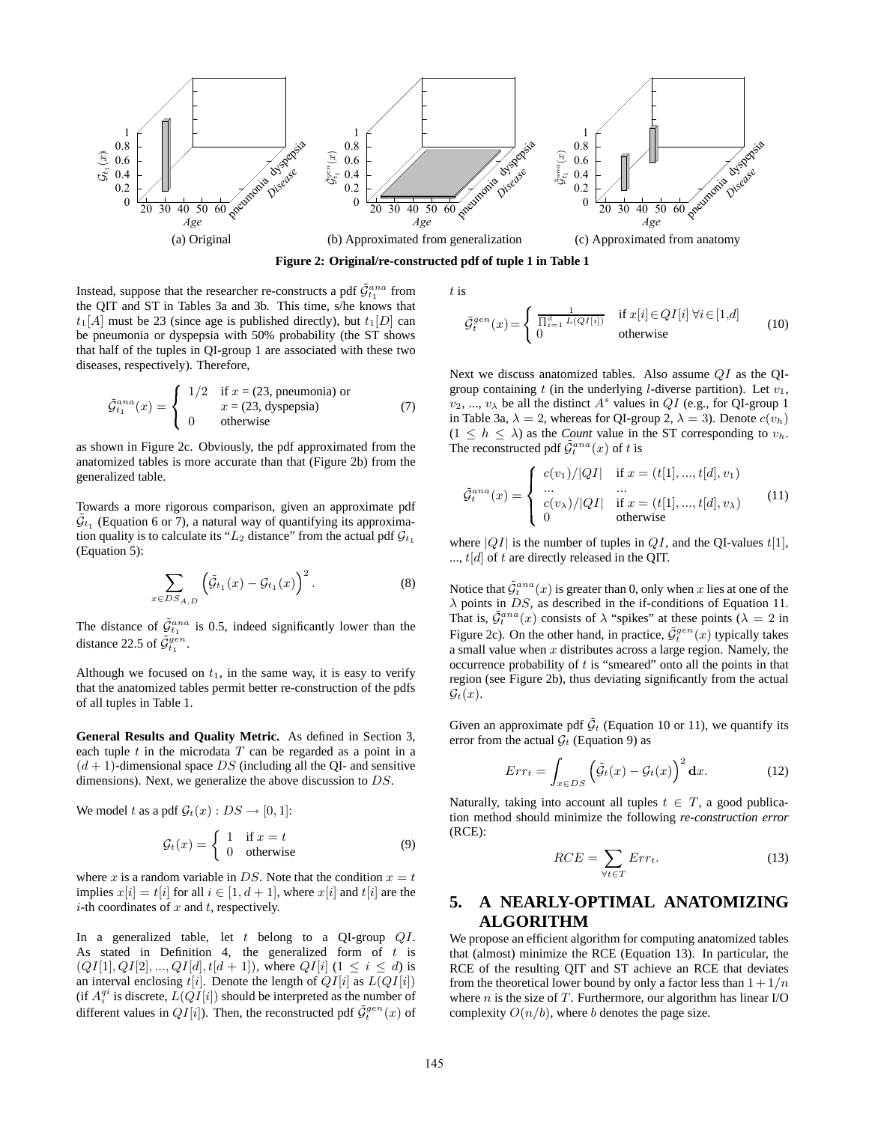

**Figure 2: Original/re-constructed pdf of tuple 1 in Table 1**

Instead, suppose that the researcher re-constructs a pdf  $\tilde{\mathcal{G}}_{t_1}^{ana}$  from the QIT and ST in Tables 3a and 3b. This time, s/he knows that  $t_1[A]$  must be 23 (since age is published directly), but  $t_1[D]$  can be pneumonia or dyspepsia with 50% probability (the ST shows that half of the tuples in QI-group 1 are associated with these two diseases, respectively). Therefore,

$$
\tilde{\mathcal{G}}_{t_1}^{ana}(x) = \begin{cases}\n1/2 & \text{if } x = (23, \text{ preumonia}) \text{ or } \\
0 & x = (23, \text{ dyspepsia})\n\end{cases}
$$
\n(7)

as shown in Figure 2c. Obviously, the pdf approximated from the anatomized tables is more accurate than that (Figure 2b) from the generalized table.

Towards a more rigorous comparison, given an approximate pdf  $\tilde{\mathcal{G}}_{t_1}$  (Equation 6 or 7), a natural way of quantifying its approximation quality is to calculate its " $L_2$  distance" from the actual pdf  $\mathcal{G}_{t_1}$ (Equation 5):

$$
\sum_{x \in DS_{A,D}} \left( \tilde{\mathcal{G}}_{t_1}(x) - \mathcal{G}_{t_1}(x) \right)^2.
$$
 (8)

The distance of  $\tilde{\mathcal{G}}_{t_1}^{ana}$  is 0.5, indeed significantly lower than the distance 22.5 of  $\tilde{\mathcal{G}}_{t_1}^{gen}$ .

Although we focused on  $t_1$ , in the same way, it is easy to verify that the anatomized tables permit better re-construction of the pdfs of all tuples in Table 1.

**General Results and Quality Metric.** As defined in Section 3, each tuple  $t$  in the microdata  $T$  can be regarded as a point in a  $(d + 1)$ -dimensional space DS (including all the QI- and sensitive dimensions). Next, we generalize the above discussion to DS.

We model t as a pdf  $\mathcal{G}_t(x) : DS \to [0, 1]$ :

$$
\mathcal{G}_t(x) = \begin{cases} 1 & \text{if } x = t \\ 0 & \text{otherwise} \end{cases}
$$
 (9)

where x is a random variable in DS. Note that the condition  $x = t$ implies  $x[i] = t[i]$  for all  $i \in [1, d + 1]$ , where  $x[i]$  and  $t[i]$  are the  $i$ -th coordinates of  $x$  and  $t$ , respectively.

In a generalized table, let  $t$  belong to a QI-group  $QI$ . As stated in Definition 4, the generalized form of  $t$  is  $(QI[1], QI[2], ..., QI[d], t[d+1])$ , where  $QI[i]$   $(1 \leq i \leq d)$  is an interval enclosing  $t[i]$ . Denote the length of  $QI[i]$  as  $L(QI[i])$ (if  $A_i^{qi}$  is discrete,  $L(QI[i])$  should be interpreted as the number of different values in  $QI[i]$ ). Then, the reconstructed pdf  $\tilde{G}^{gen}_t(x)$  of

t is

$$
\tilde{\mathcal{G}}_t^{gen}(x) = \begin{cases} \frac{1}{\prod_{i=1}^d L(QI[i])} & \text{if } x[i] \in QI[i] \,\forall i \in [1,d] \\ 0 & \text{otherwise} \end{cases} \tag{10}
$$

Next we discuss anatomized tables. Also assume QI as the QIgroup containing t (in the underlying l-diverse partition). Let  $v_1$ ,  $v_2, ..., v_\lambda$  be all the distinct  $A^s$  values in  $QI$  (e.g., for QI-group 1) in Table 3a,  $\lambda = 2$ , whereas for QI-group 2,  $\lambda = 3$ ). Denote  $c(v_h)$  $(1 \leq h \leq \lambda)$  as the *Count* value in the ST corresponding to  $v_h$ . The reconstructed pdf  $\tilde{\mathcal{G}}_t^{ana}(x)$  of t is

$$
\tilde{\mathcal{G}}_t^{ana}(x) = \begin{cases}\nc(v_1)/|QI| & \text{if } x = (t[1], ..., t[d], v_1) \\
\cdots & \cdots \\
c(v_\lambda)/|QI| & \text{if } x = (t[1], ..., t[d], v_\lambda) \\
0 & \text{otherwise}\n\end{cases}
$$
\n(11)

where  $|QI|$  is the number of tuples in  $QI$ , and the OI-values  $t[1]$ , ...,  $t[d]$  of t are directly released in the OIT.

Notice that  $\tilde{\mathcal{G}}_t^{ana}(x)$  is greater than 0, only when x lies at one of the  $\lambda$  points in DS, as described in the if-conditions of Equation 11. That is,  $\tilde{G}_t^{ana}(x)$  consists of  $\lambda$  "spikes" at these points  $(\lambda = 2 \text{ in})$ Figure 2c). On the other hand, in practice,  $\tilde{G}_t^{gen}(x)$  typically takes a small value when  $x$  distributes across a large region. Namely, the occurrence probability of  $t$  is "smeared" onto all the points in that region (see Figure 2b), thus deviating significantly from the actual  $\mathcal{G}_t(x)$ .

Given an approximate pdf  $\tilde{\mathcal{G}}_t$  (Equation 10 or 11), we quantify its error from the actual  $\mathcal{G}_t$  (Equation 9) as

$$
Err_t = \int_{x \in DS} \left( \tilde{G}_t(x) - \mathcal{G}_t(x) \right)^2 dx.
$$
 (12)

Naturally, taking into account all tuples  $t \in T$ , a good publication method should minimize the following *re-construction error* (RCE):

$$
RCE = \sum_{\forall t \in T} Err_t.
$$
 (13)

## **5. A NEARLY-OPTIMAL ANATOMIZING ALGORITHM**

We propose an efficient algorithm for computing anatomized tables that (almost) minimize the RCE (Equation 13). In particular, the RCE of the resulting QIT and ST achieve an RCE that deviates from the theoretical lower bound by only a factor less than  $1 + 1/n$ where  $n$  is the size of  $T$ . Furthermore, our algorithm has linear I/O complexity  $O(n/b)$ , where b denotes the page size.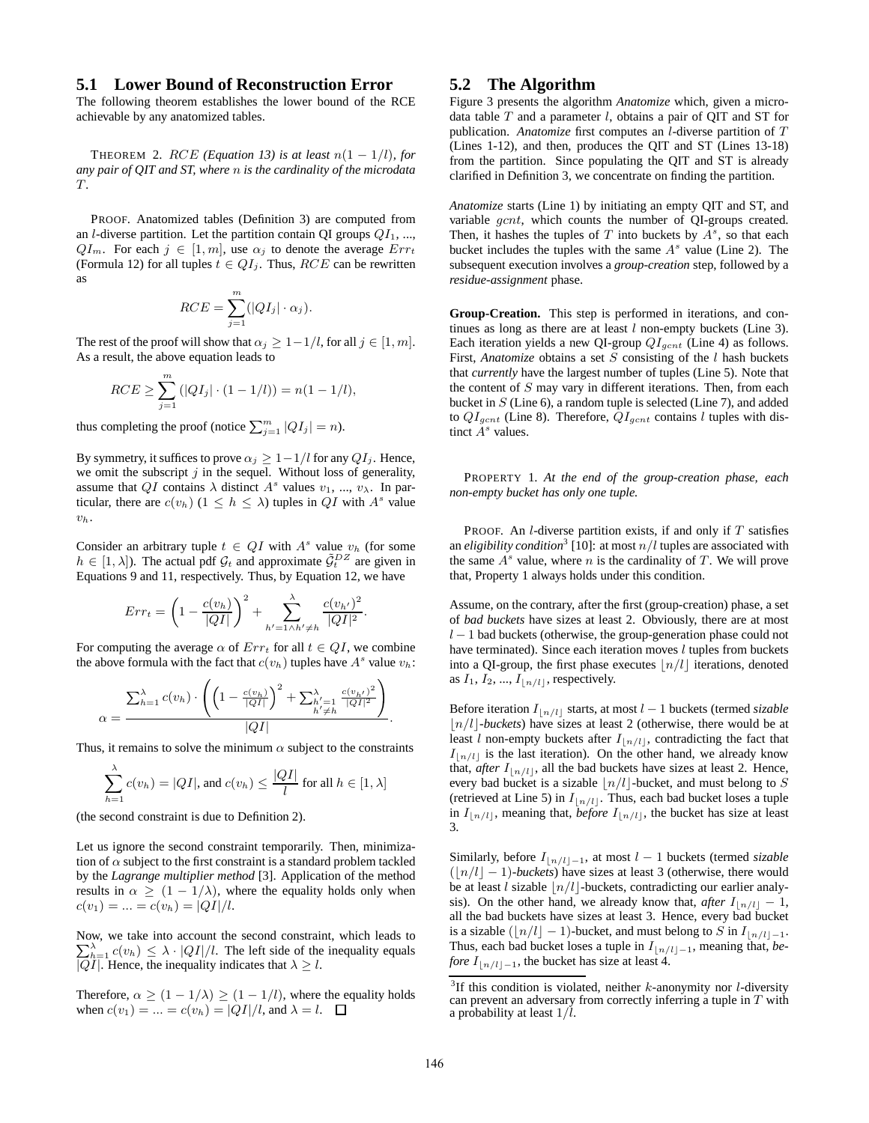#### **5.1 Lower Bound of Reconstruction Error**

The following theorem establishes the lower bound of the RCE achievable by any anatomized tables.

THEOREM 2.  $RCE$  (Equation 13) is at least  $n(1 - 1/l)$ *, for any pair of QIT and ST, where* n *is the cardinality of the microdata* T*.*

PROOF. Anatomized tables (Definition 3) are computed from an *l*-diverse partition. Let the partition contain QI groups  $QI_1$ , ...,  $QI_m$ . For each  $j \in [1, m]$ , use  $\alpha_j$  to denote the average  $Err_t$ (Formula 12) for all tuples  $t \in QI_j$ . Thus,  $RCE$  can be rewritten as

$$
RCE = \sum_{j=1}^{m} (|QI_j| \cdot \alpha_j).
$$

The rest of the proof will show that  $\alpha_j \geq 1-1/l$ , for all  $j \in [1, m]$ . As a result, the above equation leads to

$$
RCE \ge \sum_{j=1}^{m} (|QI_j| \cdot (1 - 1/l)) = n(1 - 1/l),
$$

thus completing the proof (notice  $\sum_{j=1}^{m} |Q I_j| = n$ ).

By symmetry, it suffices to prove  $\alpha_j \geq 1-1/l$  for any  $QI_j$ . Hence, we omit the subscript  $j$  in the sequel. Without loss of generality, assume that QI contains  $\lambda$  distinct  $A^s$  values  $v_1, ..., v_\lambda$ . In particular, there are  $c(v_h)$   $(1 \leq h \leq \lambda)$  tuples in  $QI$  with  $A<sup>s</sup>$  value  $v_h$ .

Consider an arbitrary tuple  $t \in QI$  with  $A<sup>s</sup>$  value  $v<sub>h</sub>$  (for some  $h \in [1, \lambda]$ ). The actual pdf  $\mathcal{G}_t$  and approximate  $\tilde{\mathcal{G}}_t^{DZ}$  are given in Equations 9 and 11, respectively. Thus, by Equation 12, we have

$$
Err_t = \left(1 - \frac{c(v_h)}{|QI|}\right)^2 + \sum_{h'=1 \wedge h' \neq h} \frac{c(v_{h'})^2}{|QI|^2}.
$$

For computing the average  $\alpha$  of  $Err_t$  for all  $t \in QI$ , we combine the above formula with the fact that  $c(v_h)$  tuples have  $A^s$  value  $v_h$ :

$$
\alpha = \frac{\sum_{h=1}^{\lambda} c(v_h) \cdot \left( \left( 1 - \frac{c(v_h)}{|QI|} \right)^2 + \sum_{\substack{h'=1 \\ h'\neq h}}^{\lambda} \frac{c(v_{h'})^2}{|QI|^2} \right)}{|QI|}.
$$

Thus, it remains to solve the minimum  $\alpha$  subject to the constraints

$$
\sum_{h=1}^{\lambda} c(v_h) = |QI|, \text{ and } c(v_h) \le \frac{|QI|}{l} \text{ for all } h \in [1, \lambda]
$$

(the second constraint is due to Definition 2).

Let us ignore the second constraint temporarily. Then, minimization of  $\alpha$  subject to the first constraint is a standard problem tackled by the *Lagrange multiplier method* [3]. Application of the method results in  $\alpha \geq (1 - 1/\lambda)$ , where the equality holds only when  $c(v_1) = ... = c(v_h) = |QI|/l.$ 

Now, we take into account the second constraint, which leads to  $\sum_{h=1}^{\lambda} c(v_h) \leq \lambda \cdot |QI|/l$ . The left side of the inequality equals | $QI$ . Hence, the inequality indicates that  $\lambda \geq l$ .

Therefore,  $\alpha \geq (1 - 1/\lambda) \geq (1 - 1/l)$ , where the equality holds when  $c(v_1) = ... = c(v_h) = |QI|/l$ , and  $\lambda = l$ .  $\Box$ 

### **5.2 The Algorithm**

Figure 3 presents the algorithm *Anatomize* which, given a microdata table  $T$  and a parameter  $l$ , obtains a pair of QIT and ST for publication. *Anatomize* first computes an l-diverse partition of T (Lines 1-12), and then, produces the QIT and ST (Lines 13-18) from the partition. Since populating the QIT and ST is already clarified in Definition 3, we concentrate on finding the partition.

*Anatomize* starts (Line 1) by initiating an empty QIT and ST, and variable gcnt, which counts the number of QI-groups created. Then, it hashes the tuples of  $T$  into buckets by  $A^s$ , so that each bucket includes the tuples with the same  $A<sup>s</sup>$  value (Line 2). The subsequent execution involves a *group-creation* step, followed by a *residue-assignment* phase.

**Group-Creation.** This step is performed in iterations, and continues as long as there are at least  $l$  non-empty buckets (Line 3). Each iteration yields a new QI-group  $QI_{gcnt}$  (Line 4) as follows. First, *Anatomize* obtains a set S consisting of the l hash buckets that *currently* have the largest number of tuples (Line 5). Note that the content of  $S$  may vary in different iterations. Then, from each bucket in  $S$  (Line 6), a random tuple is selected (Line 7), and added to  $QI_{gcnt}$  (Line 8). Therefore,  $QI_{gcnt}$  contains l tuples with distinct  $A^s$  values.

PROPERTY 1. *At the end of the group-creation phase, each non-empty bucket has only one tuple.*

PROOF. An  $l$ -diverse partition exists, if and only if  $T$  satisfies an *eligibility condition*<sup>3</sup> [10]: at most  $n/l$  tuples are associated with the same  $A^s$  value, where n is the cardinality of T. We will prove that, Property 1 always holds under this condition.

Assume, on the contrary, after the first (group-creation) phase, a set of *bad buckets* have sizes at least 2. Obviously, there are at most  $l - 1$  bad buckets (otherwise, the group-generation phase could not have terminated). Since each iteration moves  $l$  tuples from buckets into a QI-group, the first phase executes  $\lfloor n/l \rfloor$  iterations, denoted as  $I_1, I_2, ..., I_{\lfloor n/l \rfloor}$ , respectively.

Before iteration  $I_{\lfloor n/l \rfloor}$  starts, at most  $l - 1$  buckets (termed *sizable*  $\lfloor n/l \rfloor$ -buckets) have sizes at least 2 (otherwise, there would be at least l non-empty buckets after  $I_{\lfloor n/l \rfloor}$ , contradicting the fact that  $I_{n/l}$  is the last iteration). On the other hand, we already know that, *after*  $I_{\lfloor n/l \rfloor}$ , all the bad buckets have sizes at least 2. Hence, every bad bucket is a sizable  $\lfloor n/l \rfloor$ -bucket, and must belong to S (retrieved at Line 5) in  $I_{\lfloor n/l\rfloor}$ . Thus, each bad bucket loses a tuple in  $I_{\lfloor n/l \rfloor}$ , meaning that, *before*  $I_{\lfloor n/l \rfloor}$ , the bucket has size at least 3.

Similarly, before  $I_{\lfloor n/l\rfloor-1}$ , at most  $l-1$  buckets (termed *sizable*  $(|n/l| - 1)$ *-buckets*) have sizes at least 3 (otherwise, there would be at least l sizable  $\lfloor n/l \rfloor$ -buckets, contradicting our earlier analysis). On the other hand, we already know that, *after*  $I_{\lfloor n/l \rfloor} - 1$ , all the bad buckets have sizes at least 3. Hence, every bad bucket is a sizable ( $\lfloor n/l \rfloor - 1$ )-bucket, and must belong to S in  $I_{\lfloor n/l \rfloor - 1}$ . Thus, each bad bucket loses a tuple in  $I_{\lfloor n/l\rfloor-1}$ , meaning that, *before*  $I_{\lfloor n/l \rfloor - 1}$ , the bucket has size at least 4.

.

<sup>&</sup>lt;sup>3</sup>If this condition is violated, neither  $k$ -anonymity nor *l*-diversity can prevent an adversary from correctly inferring a tuple in  $T$  with a probability at least  $1/l$ .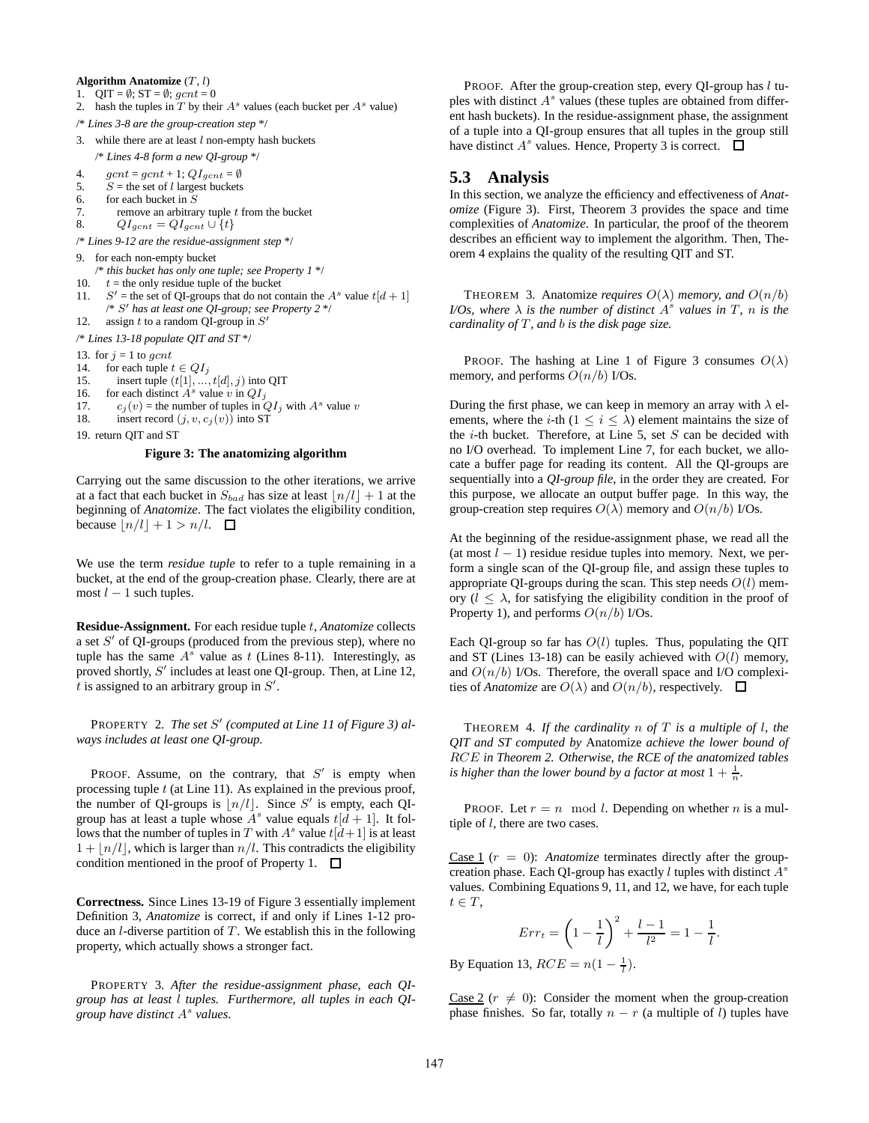#### **Algorithm Anatomize** (T, l)

- 1. QIT =  $\emptyset$ ; ST =  $\emptyset$ ; gcnt = 0
- 2. hash the tuples in  $T$  by their  $A<sup>s</sup>$  values (each bucket per  $A<sup>s</sup>$  value)
- /\* *Lines 3-8 are the group-creation step* \*/
- 3. while there are at least  $l$  non-empty hash buckets

/\* *Lines 4-8 form a new QI-group* \*/

- 4.  $gcnt = gcnt + 1$ ;  $QI_{gcnt} = \emptyset$ <br>5.  $S =$  the set of l largest buckets  $S =$  the set of l largest buckets
- 6. for each bucket in S

7. remove an arbitrary tuple t from the bucket  $\begin{array}{ll} 8. & O[1] \end{array}$ 

 $QI_{gcnt} = QI_{gcnt} \cup \{t\}$ 

/\* *Lines 9-12 are the residue-assignment step* \*/

- 9. for each non-empty bucket
- /\* *this bucket has only one tuple; see Property 1* \*/
- 10.  $t =$  the only residue tuple of the bucket
- $11.$  $S'$  = the set of QI-groups that do not contain the  $A<sup>s</sup>$  value  $t[d+1]$ /\* S <sup>0</sup> *has at least one QI-group; see Property 2* \*/ 12. assign  $t$  to a random QI-group in  $S'$

/\* *Lines 13-18 populate QIT and ST* \*/

- 13. for  $j = 1$  to gcnt
- 14. for each tuple  $t \in QI_j$
- 15. insert tuple  $(t[1], ..., t[d], j)$  into QIT
- 16. for each distinct  $A^s$  value v in  $QI_i$
- 17.  $c_j(v)$  = the number of tuples in  $QI_j$  with  $A^s$  value v<br>18. insert record  $(i, v, c_i(v))$  into ST
- insert record  $(j, v, c_i(v))$  into ST

19. return QIT and ST

#### **Figure 3: The anatomizing algorithm**

Carrying out the same discussion to the other iterations, we arrive at a fact that each bucket in  $S_{bad}$  has size at least  $\lfloor n/l \rfloor + 1$  at the beginning of *Anatomize*. The fact violates the eligibility condition, because  $|n/l| + 1 > n/l$ .  $\Box$ 

We use the term *residue tuple* to refer to a tuple remaining in a bucket, at the end of the group-creation phase. Clearly, there are at most  $l - 1$  such tuples.

**Residue-Assignment.** For each residue tuple t, *Anatomize* collects a set  $S'$  of QI-groups (produced from the previous step), where no tuple has the same  $A^s$  value as t (Lines 8-11). Interestingly, as proved shortly,  $S'$  includes at least one QI-group. Then, at Line 12, t is assigned to an arbitrary group in  $S'$ .

PROPERTY 2. The set S' (computed at Line 11 of Figure 3) al*ways includes at least one QI-group.*

PROOF. Assume, on the contrary, that  $S'$  is empty when processing tuple  $t$  (at Line 11). As explained in the previous proof, the number of QI-groups is  $\lfloor n/l \rfloor$ . Since S' is empty, each QIgroup has at least a tuple whose  $A^s$  value equals  $t[d + 1]$ . It follows that the number of tuples in T with  $A^s$  value  $t[d+1]$  is at least  $1 + \lfloor n/l \rfloor$ , which is larger than  $n/l$ . This contradicts the eligibility condition mentioned in the proof of Property 1.  $\Box$ 

**Correctness.** Since Lines 13-19 of Figure 3 essentially implement Definition 3, *Anatomize* is correct, if and only if Lines 1-12 produce an *l*-diverse partition of  $T$ . We establish this in the following property, which actually shows a stronger fact.

PROPERTY 3. *After the residue-assignment phase, each QIgroup has at least* l *tuples. Furthermore, all tuples in each QIgroup have distinct* A s *values.*

PROOF. After the group-creation step, every QI-group has  $l$  tuples with distinct  $A<sup>s</sup>$  values (these tuples are obtained from different hash buckets). In the residue-assignment phase, the assignment of a tuple into a QI-group ensures that all tuples in the group still have distinct  $A^s$  values. Hence, Property 3 is correct.

#### **5.3 Analysis**

In this section, we analyze the efficiency and effectiveness of *Anatomize* (Figure 3). First, Theorem 3 provides the space and time complexities of *Anatomize*. In particular, the proof of the theorem describes an efficient way to implement the algorithm. Then, Theorem 4 explains the quality of the resulting QIT and ST.

THEOREM 3. Anatomize *requires*  $O(\lambda)$  *memory, and*  $O(n/b)$ *I/Os, where*  $\lambda$  *is the number of distinct*  $A^s$  *values in*  $T$ *, n is the cardinality of* T*, and* b *is the disk page size.*

PROOF. The hashing at Line 1 of Figure 3 consumes  $O(\lambda)$ memory, and performs  $O(n/b)$  I/Os.

During the first phase, we can keep in memory an array with  $\lambda$  elements, where the *i*-th ( $1 \le i \le \lambda$ ) element maintains the size of the  $i$ -th bucket. Therefore, at Line 5, set  $S$  can be decided with no I/O overhead. To implement Line 7, for each bucket, we allocate a buffer page for reading its content. All the QI-groups are sequentially into a *QI-group file*, in the order they are created. For this purpose, we allocate an output buffer page. In this way, the group-creation step requires  $O(\lambda)$  memory and  $O(n/b)$  I/Os.

At the beginning of the residue-assignment phase, we read all the (at most  $l - 1$ ) residue residue tuples into memory. Next, we perform a single scan of the QI-group file, and assign these tuples to appropriate QI-groups during the scan. This step needs  $O(l)$  memory  $(l \leq \lambda)$ , for satisfying the eligibility condition in the proof of Property 1), and performs  $O(n/b)$  I/Os.

Each QI-group so far has  $O(l)$  tuples. Thus, populating the QIT and ST (Lines 13-18) can be easily achieved with  $O(l)$  memory, and  $O(n/b)$  I/Os. Therefore, the overall space and I/O complexities of *Anatomize* are  $O(\lambda)$  and  $O(n/b)$ , respectively.  $\Box$ 

THEOREM 4. *If the cardinality* n *of* T *is a multiple of* l*, the QIT and ST computed by* Anatomize *achieve the lower bound of* RCE *in Theorem 2. Otherwise, the RCE of the anatomized tables is higher than the lower bound by a factor at most*  $1 + \frac{1}{n}$ .

PROOF. Let  $r = n \mod l$ . Depending on whether n is a multiple of l, there are two cases.

Case 1  $(r = 0)$ : *Anatomize* terminates directly after the groupcreation phase. Each QI-group has exactly  $l$  tuples with distinct  $A^s$ values. Combining Equations 9, 11, and 12, we have, for each tuple  $t \in T$ ,

$$
Err_t = \left(1 - \frac{1}{l}\right)^2 + \frac{l-1}{l^2} = 1 - \frac{1}{l}.
$$

By Equation 13,  $RCE = n(1 - \frac{1}{l}).$ 

Case 2 ( $r \neq 0$ ): Consider the moment when the group-creation phase finishes. So far, totally  $n - r$  (a multiple of l) tuples have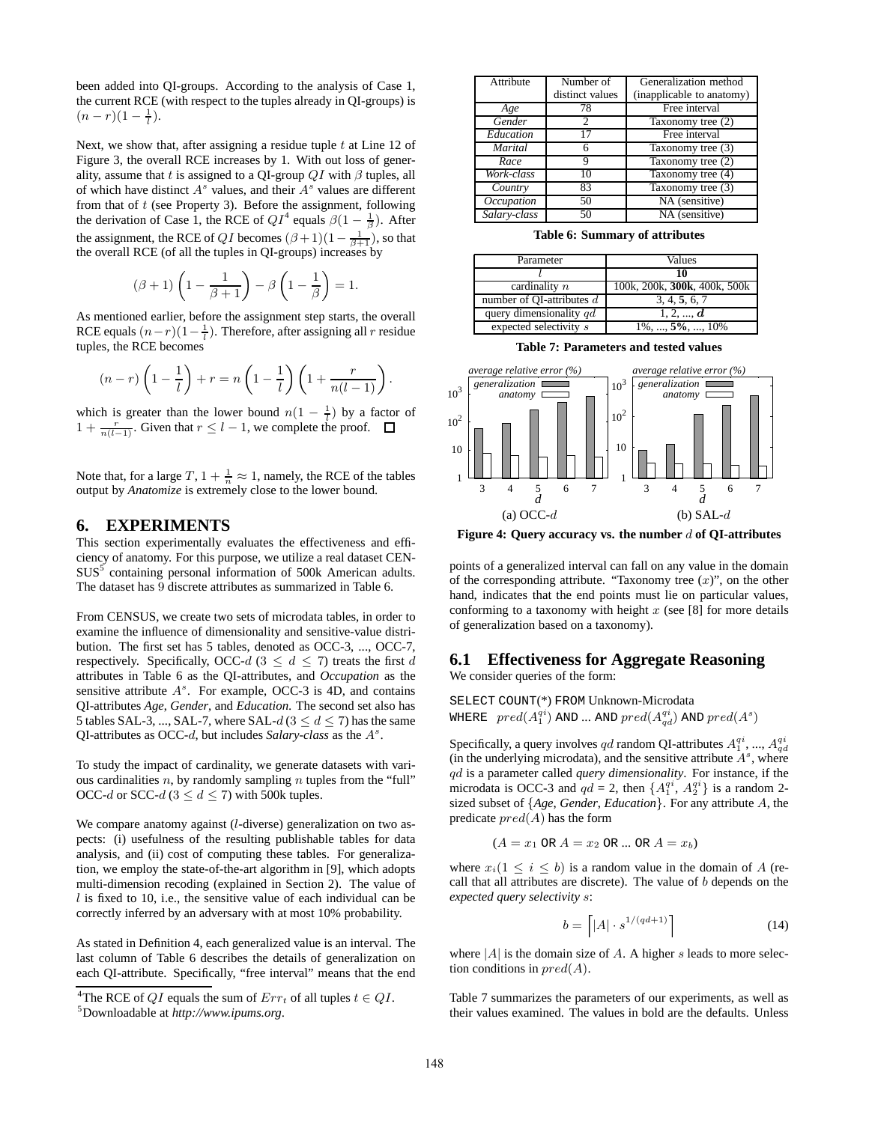been added into QI-groups. According to the analysis of Case 1, the current RCE (with respect to the tuples already in QI-groups) is  $(n-r)(1-\frac{1}{l}).$ 

Next, we show that, after assigning a residue tuple  $t$  at Line 12 of Figure 3, the overall RCE increases by 1. With out loss of generality, assume that t is assigned to a QI-group  $QI$  with  $\beta$  tuples, all of which have distinct  $A^s$  values, and their  $A^s$  values are different from that of  $t$  (see Property 3). Before the assignment, following the derivation of Case 1, the RCE of  $QI^4$  equals  $\beta(1 - \frac{1}{\beta})$ . After the assignment, the RCE of  $QI$  becomes  $(\beta + 1)(1 - \frac{1}{\beta + 1})$ , so that the overall RCE (of all the tuples in QI-groups) increases by

$$
(\beta + 1)\left(1 - \frac{1}{\beta + 1}\right) - \beta\left(1 - \frac{1}{\beta}\right) = 1.
$$

As mentioned earlier, before the assignment step starts, the overall RCE equals  $(n-r)(1-\frac{1}{l})$ . Therefore, after assigning all r residue tuples, the RCE becomes

$$
(n-r)\left(1-\frac{1}{l}\right)+r=n\left(1-\frac{1}{l}\right)\left(1+\frac{r}{n(l-1)}\right).
$$

which is greater than the lower bound  $n(1 - \frac{1}{l})$  by a factor of  $1 + \frac{r}{n(l-1)}$ . Given that  $r \leq l-1$ , we complete the proof.

Note that, for a large  $T$ ,  $1 + \frac{1}{n} \approx 1$ , namely, the RCE of the tables output by *Anatomize* is extremely close to the lower bound.

#### **6. EXPERIMENTS**

This section experimentally evaluates the effectiveness and efficiency of anatomy. For this purpose, we utilize a real dataset CEN- $SUS<sup>5</sup>$  containing personal information of 500k American adults. The dataset has 9 discrete attributes as summarized in Table 6.

From CENSUS, we create two sets of microdata tables, in order to examine the influence of dimensionality and sensitive-value distribution. The first set has 5 tables, denoted as OCC-3, ..., OCC-7, respectively. Specifically, OCC-d  $(3 \le d \le 7)$  treats the first d attributes in Table 6 as the QI-attributes, and *Occupation* as the sensitive attribute  $A^s$ . For example, OCC-3 is 4D, and contains QI-attributes *Age*, *Gender*, and *Education*. The second set also has 5 tables SAL-3, ..., SAL-7, where SAL- $d$  ( $3 \le d \le 7$ ) has the same QI-attributes as OCC- $d$ , but includes *Salary-class* as the  $A^s$ .

To study the impact of cardinality, we generate datasets with various cardinalities  $n$ , by randomly sampling  $n$  tuples from the "full" OCC-d or SCC-d ( $3 \le d \le 7$ ) with 500k tuples.

We compare anatomy against (l-diverse) generalization on two aspects: (i) usefulness of the resulting publishable tables for data analysis, and (ii) cost of computing these tables. For generalization, we employ the state-of-the-art algorithm in [9], which adopts multi-dimension recoding (explained in Section 2). The value of  $l$  is fixed to 10, i.e., the sensitive value of each individual can be correctly inferred by an adversary with at most 10% probability.

As stated in Definition 4, each generalized value is an interval. The last column of Table 6 describes the details of generalization on each QI-attribute. Specifically, "free interval" means that the end

|                 | Generalization method     |
|-----------------|---------------------------|
| distinct values | (inapplicable to anatomy) |
| 78              | Free interval             |
| っ               | Taxonomy tree (2)         |
| 17              | Free interval             |
|                 | Taxonomy tree (3)         |
| Q               | Taxonomy tree (2)         |
| 10              | Taxonomy tree $(4)$       |
| 83              | Taxonomy tree (3)         |
| 50              | NA (sensitive)            |
| 50              | NA (sensitive)            |
|                 | Number of                 |

**Table 6: Summary of attributes**

| Parameter                   | Values                       |
|-----------------------------|------------------------------|
|                             | 10                           |
| cardinality $n$             | 100k, 200k, 300k, 400k, 500k |
| number of QI-attributes $d$ | 3, 4, 5, 6, 7                |
| query dimensionality $qd$   | 1, 2, , $d$                  |
| $expected$ selectivity $s$  | $1\%$ , , 5%, , 10%          |

**Table 7: Parameters and tested values**



**Figure 4: Query accuracy vs. the number** d **of QI-attributes**

points of a generalized interval can fall on any value in the domain of the corresponding attribute. "Taxonomy tree  $(x)$ ", on the other hand, indicates that the end points must lie on particular values, conforming to a taxonomy with height  $x$  (see [8] for more details of generalization based on a taxonomy).

## **6.1 Effectiveness for Aggregate Reasoning**

We consider queries of the form:

SELECT COUNT(\*) FROM Unknown-Microdata WHERE  $\ \ pred(A_1^{qi})$  and ... and  $\ pred(A_{qd}^{qi})$  and  $\ pred(A^s)$ 

Specifically, a query involves qd random QI-attributes  $A_1^{qi}$ , ...,  $A_{qd}^{qi}$ (in the underlying microdata), and the sensitive attribute  $A^s$ , where qd is a parameter called *query dimensionality*. For instance, if the microdata is OCC-3 and  $qd = 2$ , then  $\{A_1^{qi}, A_2^{qi}\}$  is a random 2sized subset of {*Age*, *Gender*, *Education*}. For any attribute A, the predicate  $pred(A)$  has the form

$$
(A = x_1 \text{ OR } A = x_2 \text{ OR } \dots \text{ OR } A = x_b)
$$

where  $x_i(1 \leq i \leq b)$  is a random value in the domain of A (recall that all attributes are discrete). The value of b depends on the *expected query selectivity* s:

$$
b = \left\lceil |A| \cdot s^{1/(qd+1)} \right\rceil \tag{14}
$$

where  $|A|$  is the domain size of A. A higher s leads to more selection conditions in  $pred(A)$ .

Table 7 summarizes the parameters of our experiments, as well as their values examined. The values in bold are the defaults. Unless

<sup>&</sup>lt;sup>4</sup>The RCE of QI equals the sum of  $Err_t$  of all tuples  $t \in QI$ .

<sup>5</sup>Downloadable at *http://www.ipums.org*.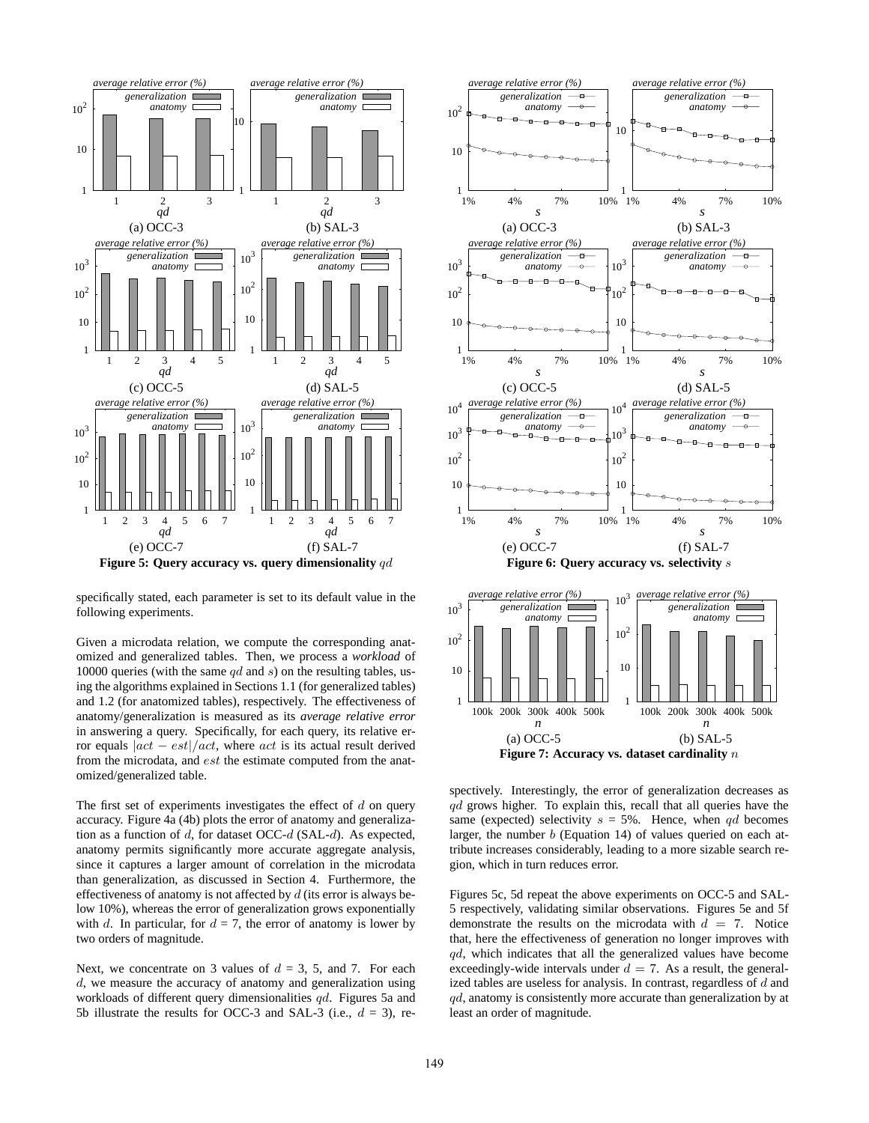

specifically stated, each parameter is set to its default value in the following experiments.

Given a microdata relation, we compute the corresponding anatomized and generalized tables. Then, we process a *workload* of 10000 queries (with the same  $qd$  and  $s$ ) on the resulting tables, using the algorithms explained in Sections 1.1 (for generalized tables) and 1.2 (for anatomized tables), respectively. The effectiveness of anatomy/generalization is measured as its *average relative error* in answering a query. Specifically, for each query, its relative error equals  $|act - est|/act$ , where act is its actual result derived from the microdata, and est the estimate computed from the anatomized/generalized table.

The first set of experiments investigates the effect of  $d$  on query accuracy. Figure 4a (4b) plots the error of anatomy and generalization as a function of  $d$ , for dataset OCC- $d$  (SAL- $d$ ). As expected, anatomy permits significantly more accurate aggregate analysis, since it captures a larger amount of correlation in the microdata than generalization, as discussed in Section 4. Furthermore, the effectiveness of anatomy is not affected by  $d$  (its error is always below 10%), whereas the error of generalization grows exponentially with d. In particular, for  $d = 7$ , the error of anatomy is lower by two orders of magnitude.

Next, we concentrate on 3 values of  $d = 3, 5,$  and 7. For each d, we measure the accuracy of anatomy and generalization using workloads of different query dimensionalities qd. Figures 5a and 5b illustrate the results for OCC-3 and SAL-3 (i.e.,  $d = 3$ ), re-



**Figure 7: Accuracy vs. dataset cardinality** n

spectively. Interestingly, the error of generalization decreases as  $qd$  grows higher. To explain this, recall that all queries have the same (expected) selectivity  $s = 5\%$ . Hence, when qd becomes larger, the number b (Equation 14) of values queried on each attribute increases considerably, leading to a more sizable search region, which in turn reduces error.

Figures 5c, 5d repeat the above experiments on OCC-5 and SAL-5 respectively, validating similar observations. Figures 5e and 5f demonstrate the results on the microdata with  $d = 7$ . Notice that, here the effectiveness of generation no longer improves with qd, which indicates that all the generalized values have become exceedingly-wide intervals under  $d = 7$ . As a result, the generalized tables are useless for analysis. In contrast, regardless of d and  $qd$ , anatomy is consistently more accurate than generalization by at least an order of magnitude.